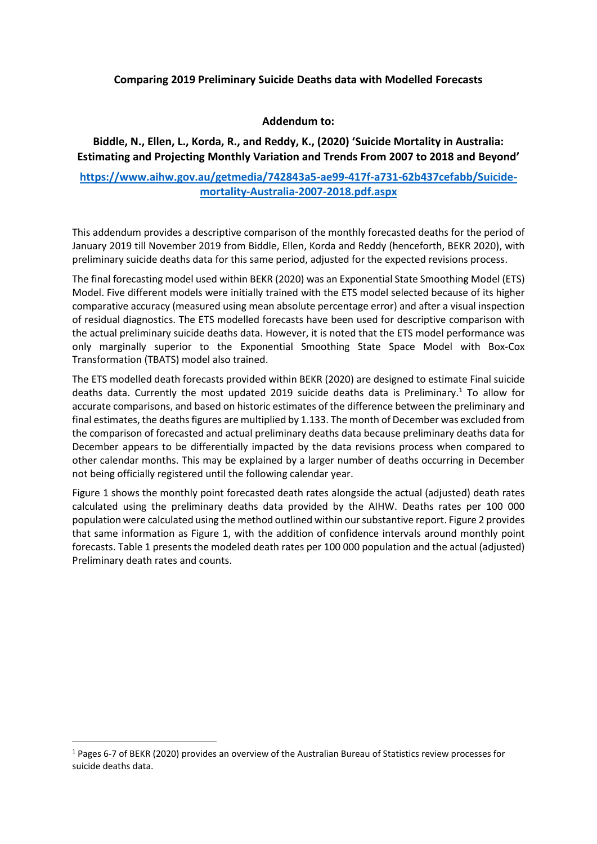## **Comparing 2019 Preliminary Suicide Deaths data with Modelled Forecasts**

## **Addendum to:**

## **Biddle, N., Ellen, L., Korda, R., and Reddy, K., (2020) 'Suicide Mortality in Australia: Estimating and Projecting Monthly Variation and Trends From 2007 to 2018 and Beyond'**

## **[https://www.aihw.gov.au/getmedia/742843a5-ae99-417f-a731-62b437cefabb/Suicide](https://www.aihw.gov.au/getmedia/742843a5-ae99-417f-a731-62b437cefabb/Suicide-mortality-Australia-2007-2018.pdf.aspx)[mortality-Australia-2007-2018.pdf.aspx](https://www.aihw.gov.au/getmedia/742843a5-ae99-417f-a731-62b437cefabb/Suicide-mortality-Australia-2007-2018.pdf.aspx)**

This addendum provides a descriptive comparison of the monthly forecasted deaths for the period of January 2019 till November 2019 from Biddle, Ellen, Korda and Reddy (henceforth, BEKR 2020), with preliminary suicide deaths data for this same period, adjusted for the expected revisions process.

The final forecasting model used within BEKR (2020) was an Exponential State Smoothing Model (ETS) Model. Five different models were initially trained with the ETS model selected because of its higher comparative accuracy (measured using mean absolute percentage error) and after a visual inspection of residual diagnostics. The ETS modelled forecasts have been used for descriptive comparison with the actual preliminary suicide deaths data. However, it is noted that the ETS model performance was only marginally superior to the Exponential Smoothing State Space Model with Box-Cox Transformation (TBATS) model also trained.

The ETS modelled death forecasts provided within BEKR (2020) are designed to estimate Final suicide deaths data. Currently the most updated 2019 suicide deaths data is Preliminary.<sup>1</sup> To allow for accurate comparisons, and based on historic estimates of the difference between the preliminary and final estimates, the deaths figures are multiplied by 1.133. The month of December was excluded from the comparison of forecasted and actual preliminary deaths data because preliminary deaths data for December appears to be differentially impacted by the data revisions process when compared to other calendar months. This may be explained by a larger number of deaths occurring in December not being officially registered until the following calendar year.

Figure 1 shows the monthly point forecasted death rates alongside the actual (adjusted) death rates calculated using the preliminary deaths data provided by the AIHW. Deaths rates per 100 000 population were calculated using the method outlined within oursubstantive report. Figure 2 provides that same information as Figure 1, with the addition of confidence intervals around monthly point forecasts. Table 1 presents the modeled death rates per 100 000 population and the actual (adjusted) Preliminary death rates and counts.

<sup>1</sup> Pages 6-7 of BEKR (2020) provides an overview of the Australian Bureau of Statistics review processes for suicide deaths data.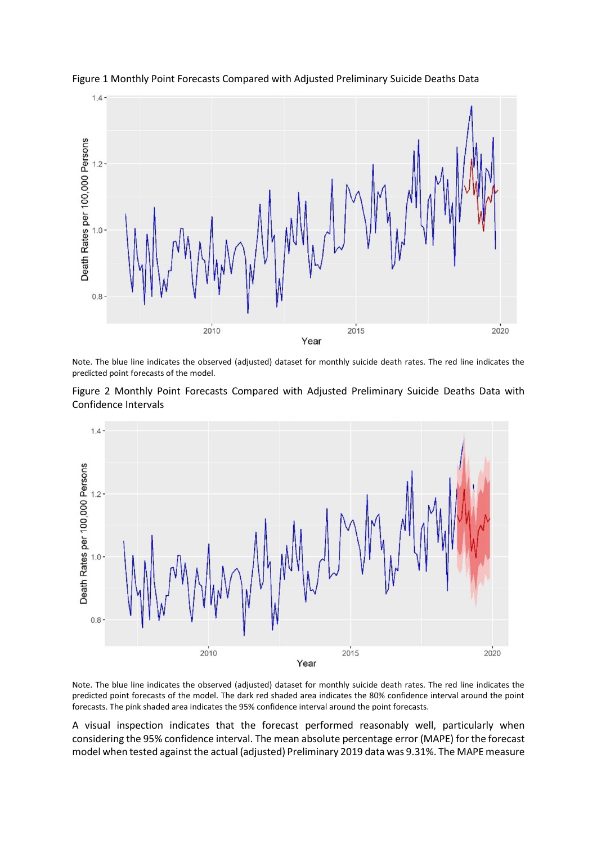

Figure 1 Monthly Point Forecasts Compared with Adjusted Preliminary Suicide Deaths Data

Note. The blue line indicates the observed (adjusted) dataset for monthly suicide death rates. The red line indicates the predicted point forecasts of the model.





Note. The blue line indicates the observed (adjusted) dataset for monthly suicide death rates. The red line indicates the predicted point forecasts of the model. The dark red shaded area indicates the 80% confidence interval around the point forecasts. The pink shaded area indicates the 95% confidence interval around the point forecasts.

A visual inspection indicates that the forecast performed reasonably well, particularly when considering the 95% confidence interval. The mean absolute percentage error (MAPE) for the forecast model when tested against the actual (adjusted) Preliminary 2019 data was 9.31%. The MAPE measure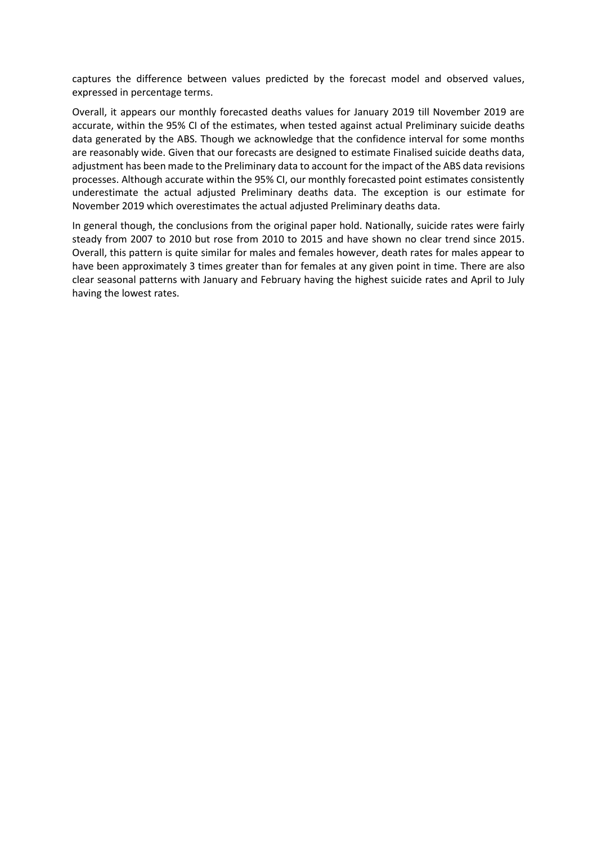captures the difference between values predicted by the forecast model and observed values, expressed in percentage terms.

Overall, it appears our monthly forecasted deaths values for January 2019 till November 2019 are accurate, within the 95% CI of the estimates, when tested against actual Preliminary suicide deaths data generated by the ABS. Though we acknowledge that the confidence interval for some months are reasonably wide. Given that our forecasts are designed to estimate Finalised suicide deaths data, adjustment has been made to the Preliminary data to account for the impact of the ABS data revisions processes. Although accurate within the 95% CI, our monthly forecasted point estimates consistently underestimate the actual adjusted Preliminary deaths data. The exception is our estimate for November 2019 which overestimates the actual adjusted Preliminary deaths data.

In general though, the conclusions from the original paper hold. Nationally, suicide rates were fairly steady from 2007 to 2010 but rose from 2010 to 2015 and have shown no clear trend since 2015. Overall, this pattern is quite similar for males and females however, death rates for males appear to have been approximately 3 times greater than for females at any given point in time. There are also clear seasonal patterns with January and February having the highest suicide rates and April to July having the lowest rates.